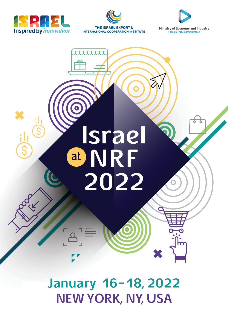





**Ministry of Economy and Industry Foreign Trade Administration** 



**January 16-18, 2022 NEW YORK, NY, USA**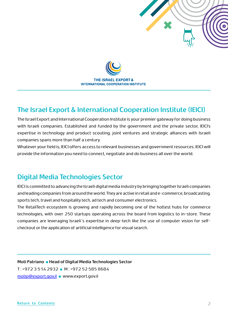



## **The Israel Export & International Cooperation Institute (IEICI)**

The Israel Export and International Cooperation Institute is your premier gateway for doing business with Israeli companies. Established and funded by the government and the private sector, IEICI's expertise in technology and product scouting, joint ventures and strategic alliances with Israeli companies spans more than half a century.

Whatever your field is, IEICI offers access to relevant businesses and government resources. IEICI will provide the information you need to connect, negotiate and do business all over the world.

### **Digital Media Technologies Sector**

IEICI is committed to advancing the Israeli digital media industry by bringing together Israeli companies and leading companies from around the world. They are active in retail and e-commerce, broadcasting, sports tech, travel and hospitality tech, ad tech and consumer electronics.

The RetailTech ecosystem is growing and rapidly becoming one of the hottest hubs for commerce technologies, with over 250 startups operating across the board from logistics to in-store. These companies are leveraging Israeli´s expertise in deep-tech like the use of computer vision for selfcheckout or the application of artificial intelligence for visual search.

**Moti Patriano ■ Head of Digital Media Technologies Sector**  T : +972 3 514 2932 **■** M : +972 52 585 8684 [motip@export.gov.il](mailto:motip%40export.gov.il%20?subject=) **■** [www.export.gov.il](https://www.export.gov.il/en)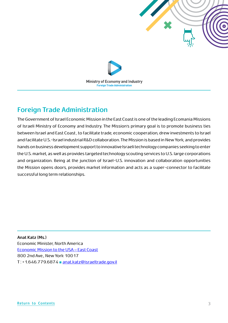



## **Foreign Trade Administration**

The Government of Israel Economic Mission in the East Coast is one of the leading Ecomania Missions of Israeli Ministry of Economy and Industry. The Mission's primary goal is to promote business ties between Israel and East Coast , to facilitate trade, economic cooperation, drew investments to Israel and facilitate U.S.-Israel industrial R&D collaboration. The Mission is based in New York, and provides hands on business development support to innovative Israeli technology companies seeking to enter the U.S. market, as well as provides targeted technology scouting services to U.S. large corporations and organization. Being at the junction of Israel-U.S. innovation and collaboration opportunities the Mission opens doors, provides market information and acts as a super-connector to facilitate successful long term relationships.

**Anat Katz (Ms.)** Economic Minister, North America [Economic Mission to the USA – East Coast](https://itrade.gov.il/usa/east-coast/) 800 2nd Ave., New York 10017 T : +1.646.779.6874 **■** [anat.katz@israeltrade.gov.il](mailto:anat.katz%40israeltrade.gov.il?subject=)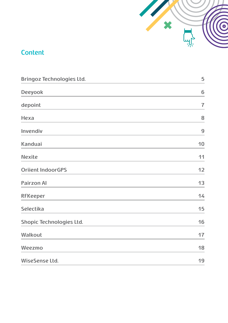

## <span id="page-3-0"></span>**Content**

| <b>Bringoz Technologies Ltd.</b> | 5              |
|----------------------------------|----------------|
| <b>Deeyook</b>                   | 6              |
| depoint                          | $\overline{1}$ |
| Hexa                             | 8              |
| Invendiv                         | 9              |
| <b>Kanduai</b>                   | 10             |
| <b>Nexite</b>                    | 11             |
| <b>Oriient IndoorGPS</b>         | 12             |
| <b>Pairzon Al</b>                | 13             |
| <b>RFKeeper</b>                  | 14             |
| <b>Selectika</b>                 | 15             |
| <b>Shopic Technologies Ltd.</b>  | 16             |
| <b>Walkout</b>                   | 17             |
| Weezmo                           | 18             |
| WiseSense Ltd.                   | 19             |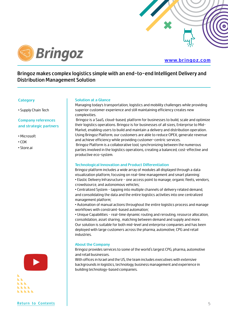

<span id="page-4-0"></span>

#### **[www.bringoz.com](https://www.bringoz.com/)**

#### **Bringoz makes complex logistics simple with an end-to-end Intelligent Delivery and Distribution Management Solution**

#### **Category**

• Supply Chain Tech

#### **Company references and strategic partners**

- Microsoft
- CDK
- Store.ai

#### **Solution at a Glance**

Managing today's transportation, logistics and mobility challenges while providing superior customer experience and still maintaining efficiency creates new complexities.

 Bringoz is a SaaS, cloud-based, platform for businesses to build, scale and optimize their logistics operations. Bringoz is for businesses of all sizes, Enterprise to Mid-Market, enabling users to build and maintain a delivery and distribution operation. Using Bringoz Platform, our customers are able to reduce OPEX, generate revenue and achieve efficiency while providing customer-centric services. Bringoz Platform is a collaborative tool, synchronizing between the numerous

parties involved in the logistics operations, creating a balanced, cost-effective and productive eco-system.

#### **Technological Innovation and Product Differentiation**

Bringoz platform includes a wide array of modules all displayed through a data visualization platform, focusing on real-time management and smart planning: • Elastic Delivery Infrasructure - one access point to manage, organic fleets, vendors, crowdsource, and autonomous vehicles;

• Centralized System - tapping into multiple channels of delivery related demand, and consolidating the data and the entire logistics activities into one centralized management platform;

• Automation of manual actions throughout the entire logistics process and manage workflows with constraint-based automation;

• Unique Capabilities - real-time dynamic routing and rerouting, resource allocation, consolidation, asset sharing , matching between demand and supply and more. Our solution is suitable for both mid-level and enterprise companies and has been deployed with large customers across the pharma, automotive, CPG and retail industries.

#### **About the Company**

Bringoz provides services to some of the world's largest CPG, pharma, automotive and retail businesses.

With offices in Israel and the US, the team includes executives with extensive backgrounds in logistics, technology, business management and experience in building technology-based companies.

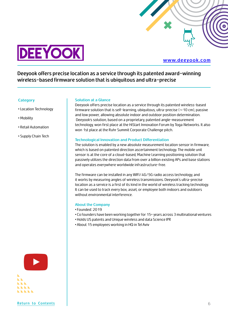

<span id="page-5-0"></span>

#### **[www.deeyook.com](https://www.deeyook.com/)**

**Deeyook offers precise location as a service through its patented award-winning wireless-based firmware solution that is ubiquitous and ultra-precise**

#### **Category**

- Location Technology
- Mobility
- Retail Automation
- Supply Chain Tech

#### **Solution at a Glance**

Deeyook offers precise location as a service through its patented wireless-based firmware solution that is self-learning, ubiquitous, ultra-precise ( $\sim$  10 cm), passive and low power, allowing absolute indoor and outdoor position determination. Deeyook's solution, based on a proprietary, patented angle-measurement technology, won first place at the HiStart Innovation Forum by Toga Networks. It also won 1st place at the Ruhr Summit Corporate Challenge pitch.

#### **Technological Innovation and Product Differentiation**

The solution is enabled by a new absolute measurement location sensor in firmware, which is based on patented direction ascertainment technology. The mobile unit sensor is at the core of a cloud-based, Machine Learning positioning solution that passively utilizes the direction data from over a billion existing APs and base stations and operates everywhere worldwide infrastructure-free.

The firmware can be installed in any WIFI/4G/5G radio access technology, and it works by measuring angles of wireless transmissions. Deeyook's ultra-precise location as a service is a first of its kind in the world of wireless tracking technology. It can be used to track every box, asset, or employee both indoors and outdoors without environmental interference.

#### **About the Company**

- Founded: 2019
- Co founders have been working together for 15+ years across 3 multinational ventures
- Holds US patents and Unique wireless and data Science IPR
- About 15 employees working in HQ in Tel Aviv

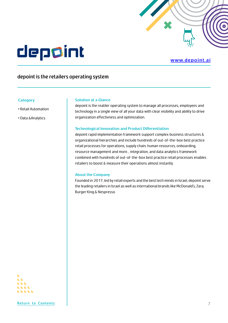

# <span id="page-6-0"></span>depoint

#### **[www.depoint.ai](https://depoint.ai/)**

### **depoint is the retailers operating system**

#### **Category**

- Retail Automation
- Data &Analytics

#### **Solution at a Glance**

depoint is the reatiler operating system to manage all processes, employees and technology in a single view of all your data with clear visibility and ability to drive organization effectivness and optimization.

#### **Technological Innovation and Product Differentiation**

depoint rapid implementation framework support complex business structures & organizational hierarchies and include hundreds of out-of-the-box best practice retail processes for operations, supply chain, human resources, onboarding, resource management and more. , integration, and data analytics framework combined with hundreds of out-of-the-box best practice retail processes enables retailers to boost & measure their operations almost instantly.

#### **About the Company**

Founded in 2017, led by retail experts and the best tech minds in Israel, depoint serve the leading retailers in Israel as well as international brands like McDonald's, Zara, Burger King & Nespresso

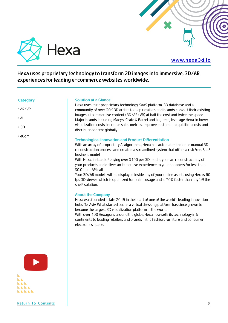<span id="page-7-0"></span>

#### **[www.hexa3d.io](https://depoint.ai/)**

**Hexa uses proprietary technology to transform 2D images into immersive, 3D/AR experiences for leading e-commerce websites worldwide.**

#### **Category**

- AR/VR
- AI
- 3D
- eCom

#### **Solution at a Glance**

Hexa uses their proprietary technology, SaaS platform, 3D database and a community of over 20K 3D artists to help retailers and brands convert their existing images into immersive content (3D/AR/VR) at half the cost and twice the speed. Major brands including Macy's, Crate & Barrel and Logitech, leverage Hexa to lower visualization costs, increase sales metrics, improve customer acquisition costs and distribute content globally.

#### **Technological Innovation and Product Differentiation**

With an array of proprietary AI algorithms, Hexa has automated the once manual 3D reconstruction process and created a streamlined system that offers a risk free, SaaS business model.

With Hexa, instead of paying over \$100 per 3D model, you can reconstruct any of your products and deliver an immersive experience to your shoppers for less than \$0.01 per API call.

Your 3D/AR models will be displayed inside any of your online assets using Hexa's 60 fps 3D viewer, which is optimized for online usage and is 70% faster than any 'off the shelf' solution.

#### **About the Company**

Hexa was founded in late 2015 in the heart of one of the world's leading innovation hubs, Tel Aviv. What started out as a virtual dressing platform has since grown to become the largest 3D visualization platform in the world.

With over 100 Hexagons around the globe, Hexa now sells its technology in 5 continents to leading retailers and brands in the fashion, furniture and consumer electronics space.

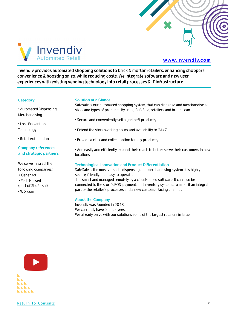

<span id="page-8-0"></span>

#### **[www.invendiv.com](https://www.invendiv.com/)**

**Invendiv provides automated shopping solutions to brick & mortar retailers, enhancing shoppers' convenience & boosting sales, while reducing costs. We integrate software and new user experiences with existing vending technology into retail processes & IT infrastructure**

#### **Category**

• Automated Dispensing Merchandising

• Loss Prevention **Technology** 

• Retail Automation

#### **Company references and strategic partners**

We serve in Israel the following companies: • Osher Ad • Yesh Hessed (part of Shufersal) • WIX.com

#### **Solution at a Glance**

Safesale is our automated shopping system, that can dispense and merchandise all sizes and types of products. By using SafeSale, retailers and brands can:

- Secure and conveniently sell high-theft products,
- Extend the store working hours and availability to 24/7,
- Provide a click and collect option for key products,

• And easily and efficiently expand their reach to better serve their customers in new locations

#### **Technological Innovation and Product Differentiation**

SafeSale is the most versatile dispensing and merchandising system, it is highly secure, friendly, and easy to operate.

 It is smart and managed remotely by a cloud-based software. It can also be connected to the store's POS, payment, and Inventory systems, to make it an integral part of the retailer's processes and a new customer facing channel.

#### **About the Company**

Invendiv was founded in 2018. We currently have 6 employees. We already serve with our solutions some of the largest retailers in Israel.

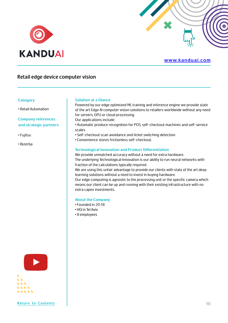<span id="page-9-0"></span>

#### **www.kanduai.com**

#### **Retail edge device computer vision**

#### **Category**

• Retail Automation

**Company references and strategic partners**

- Fujitsu
- Bizerba

#### **Solution at a Glance**

Powered by our edge optimized ML training and inference engine we provide state of the art Edge AI computer vision solutions to retailers worldwide without any need for servers, GPU or cloud processing.

Our applications include:

• Automatic produce recognition for POS, self-checkout machines and self-service scales

- Self-checkout scan avoidance and ticket switching detection
- Convenience stores frictionless self-checkout.

#### **Technological Innovation and Product Differentiation**

We provide unmatched accuracy without a need for extra hardware. The underlying Technological Innovation is our ability to run neural networks with fraction of the calculations typically required.

We are using this unfair advantage to provide our clients with state of the art deep learning solutions without a need to invest in buying hardware.

Our edge computing is agnostic to the processing unit or the specific camera which means our client can be up and running with their existing infrastructure with no extra capex investments.

#### **About the Company**

- Founded in 2018
- HQ in Tel Aviv
- 8 employees



**[Return to Contents](#page-3-0)**  $\vert$  10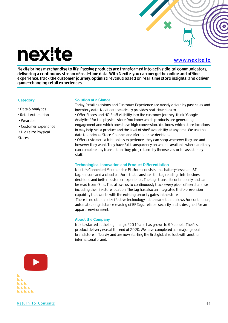# <span id="page-10-0"></span>nexite

#### **[www.nexite.io](https://www.nexite.io/)**

**Nexite brings merchandise to life. Passive products are transformed into active digital communicators, delivering a continuous stream of real-time data. With Nexite, you can merge the online and offline experience, track the customer journey, optimize revenue based on real-time store insights, and deliver game-changing retail experiences.**

#### **Category**

- Data & Analytics
- Retail Automation
- Wearable
- Customer Experience
- Digitalize Physical

Stores

#### **Solution at a Glance**

Today, Retail decisions and Customer Experience are mostly driven by past sales and inventory data. Nexite automatically provides real-time data to:

• Offer Stores and HQ Staff visibility into the customer journey: think "Google Analytics" for the physical store. You know which products are generating engagement and which ones have high conversion. You know which store locations in may help sell a product and the level of shelf availability at any time. We use this data to optimize Store, Channel and Merchandise decisions.

• Offer customers a frictionless experience: they can shop wherever they are and however they want. They have full transparency on what is available where and they can complete any transaction (buy, pick, return) by themselves or be assisted by staff.

#### **Technological Innovation and Product Differentiation**

Nexite's Connected Merchandise Platform consists on a battery-less nanoBT tag, sensors and a cloud platform that translates the tag readings into business decisions and better customer experience. The tags transmit continuously and can be read from >7ms. This allows us to continuously track every piece of merchandise including their in-store location. The tag has also an integrated theft-prevention capability that works with the existing security gates in the store. There is no other cost-effective technology in the market that allows for continuous,

automatic, long distance reading of RF Tags, reliable security and is designed for an apparel environment.

#### **About the Company**

Nexite started at the beginning of 2019 and has grown to 50 people. The first product delivery was at the end of 2020. We have completed at a major global brand store in Telaviv, and are now starting the first global rollout with another internaitonal brand.

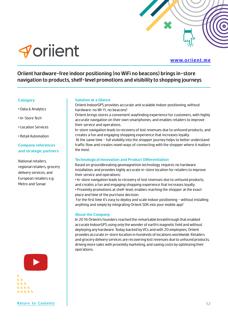

<span id="page-11-0"></span>

#### **[www.oriient.me](https://www.oriient.me/)**

**Oriient hardware-free indoor positioning (no WiFi no beacons) brings in-store navigation to products, shelf-level promotions and visibility to shopping journeys**

#### **Category**

- Data & Analytics
- In-Store Tech
- Location Services
- Retail Automation

#### **Company references and strategic partners**

National retailers, regional retailers, grocery delivery services, and European retailers e.g. Metro and Sonae



#### **[Return to Contents](#page-3-0)** 12

#### **Solution at a Glance**

Oriient IndoorGPS provides accurate and scalable indoor positioning, without hardware: no Wi-Fi, no beacons!

Oriient brings stores a convenient wayfinding experience for customers, with highly accurate navigation on their own smartphones, and enables retailers to improve their service and operations.

In-store navigation leads to recovery of lost revenues due to unfound products, and creates a fun and engaging shopping experience that increases loyalty.

 At the same time - full visibility into the shopper journey helps to better understand traffic flow and creates novel ways of connecting with the shopper where it matters the most.

#### **Technological Innovation and Product Differentiation**

Based on groundbreaking geomagnetism technology, requires no hardware installation, and provides highly accurate in-store location for retailers to improve their service and operations:

• In-store navigation leads to recovery of lost revenues due to unfound products, and creates a fun and engaging shopping experience that increases loyalty.

• Proximity promotions at shelf-level, enables reaching the shopper at the exact place and time of the purchase decision.

For the first time it's easy to deploy and scale indoor positioning - without installing anything and simply by integrating Oriient SDK into your mobile app!

#### **About the Company**

In 2016 Oriient's founders reached the remarkable breakthrough that enabled accurate IndoorGPS using only the wonder of earth's magnetic field and without deploying any hardware. Today, backed by VCs and with 20 employees, Oriient provides accurate in-store location in hundreds of locations worldwide. Retailers and grocery delivery services are recovering lost revenues due to unfound products, driving more sales with proximity marketing, and saving costs by optimizing their operations.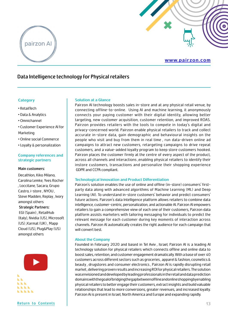<span id="page-12-0"></span>

#### **[www.pairzon.com](https://www.pairzon.com/)**

#### **Data Intelligence technology for Physical retailers**

#### **Category**

- RetailTech
- Data & Analytics
- Omnichannel
- Customer Experience AI for Marketing
- Online social Commerce
- Loyalty & personalization

#### **Company references and strategic partners**

#### **Main customers:**

Decathlon, Kiko Milano, Carolina Lemke, Yves Rocher , Loccitane, Sacara, Grupo Castro, i-store , NYOU , Steve Madden, Replay , Ivory amongst others  **Strategic Partners:** EGI (Spain) , RetailHub (Italy), Nvidia (US), Microsoft (US) ,Karmat (UK) , Mapp Cloud (US), Plug&Play (US)

amongst others



#### **Solution at a Glance**

Pairzon AI technology boosts sales in-store and at any physical retail venue, by connecting offline-to-online. Using AI and machine learning, it anonymously connects your paying customer with their digital identity, allowing better targeting, new customer acquisition, customer retention, and improved ROAS. Pairzon provides retailers with the tools to compete in today's digital and privacy-concerned world. Pairzon enable physical retailers to track and collect accurate in-store data, gain demographic and behavioural insights on the people who visit and buy from them in real time , run data-driven online ad campaigns to attract new customers, retargeting campaigns to drive repeat customers, and a value-added loyalty program to keep store customers hooked. Pairzon places the customer firmly at the centre of every aspect of the product, across all channels and interactions ,enabling physical retailers to identify their instore customers, transactions and personalize their shopping experience GDPR and CCPA compliant.

#### **Technological Innovation and Product Differentiation**

Pairzon's solution enables the use of online and offline (in-store) consumers' firstparty data along with advanced algorithms of Machine Learning (ML) and Deep Learning (AI). To understand in-store customers' behavior and predict consumers' future actions. Pairzon's data Intelligence platform allows retailers to combine data intelligence, customer-centric, personalization, and actionable AI. Pairzon AI empowers retailers to gain a comprehensive view of each one of their customers, Pairzon data platform assists marketers with tailoring messaging for individuals to predict the relevant message for each customer during key moments of interaction across channels. Pairzon AI automatically creates the right audience for each campaign that will convert best.

#### **About the Company**

Founded in February 2020 and based in Tel Aviv , Israel, Pairzon AI is a leading AI technology solution for physical retailers which connects offline and online data to boost sales, retention, and customer engagement dramatically. With a base of over 40 customers across different sectors such as groceries , apparel & fashion, cosmetics & beauty , drugstores and consumer electronics , Pairzon AI is rapidly disrupting retail market , delivering proven results and increasing ROI for physical retailers. The solution was envisioned and developed by leading professionals in the retail and data prediction domains with the goal of bridging the gap between offline and online shopping by enabling physical retailers to better engage their customers, extract insights and build valuable relationships that lead to more conversions, greater revenues, and increased loyalty. Pairzon Ai is present in Israel, North America and Europe and expanding rapidly.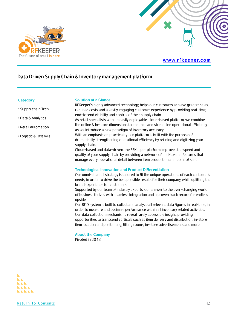<span id="page-13-0"></span>

#### **[www.rfkeeper.com](https://rfkeeper.com/)**

#### **Data Driven Supply Chain & Inventory management platform**

#### **Category**

- Supply chain Tech
- Data & Analytics
- Retail Automation
- Logistic & Last mile

#### **Solution at a Glance**

RFKeeper's highly advanced technology, helps our customers achieve greater sales, reduced costs and a vastly engaging customer experience by providing real-time, end-to-end visibility and control of their supply chain. As retail specialists with an easily deployable, cloud-based platform, we combine the online & in-store dimensions to enhance and streamline operational efficiency, as we introduce a new paradigm of inventory accuracy. With an emphasis on practicality, our platform is built with the purpose of dramatically strengthening operational efficiency by refining and digitizing your supply chain. Cloud-based and data-driven, the RFKeeper platform improves the speed and quality of your supply chain by providing a network of end-to-end features that manage every operational detail between item production and point of sale. **Technological Innovation and Product Differentiation** Our omni-channel strategy is tailored to fit the unique operations of each customer's needs, in order to drive the best possible results for their company, while uplifting the brand experience for customers. Supported by our team of industry experts, our answer to the ever-changing world of business thrives with seamless integration and a proven track record for endless upside. Our RFID system is built to collect and analyze all relevant data figures in real-time, in

order to measure and optimize performance within all inventory related activities. Our data collection mechanisms reveal rarely accessible insight, providing opportunities to transcend verticals such as item delivery and distribution, in-store item location and positioning, fitting rooms, in-store advertisements and more.

#### **About the Company** Pivoted in 2018

**NEW**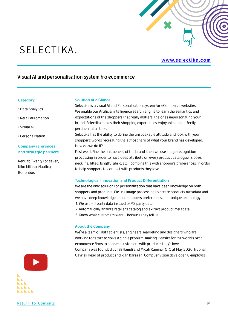

## <span id="page-14-0"></span>SELECTIKA.

#### **[www.selectika.com](https://selectika.com/)**

#### **Visual AI and personalisation system fro ecommerce**

#### **Category**

- Data Analytics
- Retail Automation
- Visual AI
- Personalisation

#### **Company references and strategic partners**

Renuar, Twenty for seven, Kiko Milano, Nautica, **Bononbos** 

**[Return to Contents](#page-3-0)** 15

#### **Solution at a Glance**

Selectika is a visual AI and Personalization system for eCommerce websites. We enable our Artificial intelligence search engine to learn the semantics and expectations of the shoppers that really matters: the ones impersonating your brand. Selectika makes their shopping experiences enjoyable and perfectly pertinent at all time.

Selectika has the ability to define the unspeakable attitude and look with your shopper's words recreating the atmosphere of what your brand has developed. How do we do it?

First we define the uniqueness of the brand, then we use image recognition processing in order to have deep attribute on every product catalogue (sleeve, neckline, fitted, length, fabric, etc.) combine this with shopper's preferences, in order to help shoppers to connect with products they love.

#### **Technological Innovation and Product Differentiation**

We are the only solution for personalization that have deep knowledge on both shoppers and products. We use image processing to create products metadata and we have deep knowledge about shoppers preferences. our unique technology: 1. We use #1 party data instaed of #3 party date 2. Automatically analyze retailer's catalog and extract product metadata 3. Know what customers want – because they tell us

#### **About the Company**

We're a team of data scientists, engineers, marketing and designers who are working together to solve a single problem: making it easier for the world's best ecommerce firms to connect customers with products they'll love. Company was founded by Tali Hamdi and Micah Kaminer CTO at May 2020. Nuphar Gavrieli Head of product and Idan Barazani Compuer vision developer. 8 employee.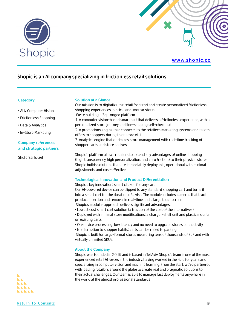<span id="page-15-0"></span>

#### **[www.shopic.co](https://www.shopic.co/)**

#### **Shopic is an AI company specializing in frictionless retail solutions**

#### **Category**

- AI & Computer Vision
- Frictionless Shopping
- Data & Analytics
- In-Store Marketing

#### **Company references and strategic partners**

Shufersal Israel

#### **Solution at a Glance**

Our mission is to digitalize the retail frontend and create personalized frictionless shopping experiences in brick-and-mortar stores We're building a 3-pronged platform: 1. A computer vision-based smart cart that delivers a frictionless experience, with a personalized store journey and line-skipping self-checkout

2. A promotions engine that connects to the retailer's marketing systems and tailors offers to shoppers during their store visit

3. Analytics engine that optimizes store management with real-time tracking of shopper carts and store shelves

Shopic's platform allows retailers to extend key advantages of online shopping (high transparency, high personalization, and zero friction) to their physical stores Shopic builds solutions that are immediately deployable, operational with minimal adjustments and cost-effective

#### **Technological Innovation and Product Differentiation**

Shopic's key innovation: smart clip-on for any cart

Our AI-powered device can be clipped to any standard shopping cart and turns it into a smart cart for the duration of a visit. The module includes cameras that track product insertion and removal in real-time and a large touchscreen Shopic's modular approach delivers significant advantages:

- Lowest cost smart cart solution (a fraction of the cost of the alternatives)
- Deployed with minimal store modifications: a charger-shelf unit and plastic mounts on existing carts
- On-device processing: low latency and no need to upgrade store's connectivity
- No disruption to shopper habits: carts can be rolled to parking

 Shopic is built for large-format stores measuring tens of thousands of SqF and with virtually unlimited SKUs.

#### **About the Company**

Shopic was founded in 2015 and is based in Tel Aviv. Shopic's team is one of the most experienced retail AI forces in the industry, having worked in the field for years and specializing in computer vision and machine learning. From the start, we've partnered with leading retailers around the globe to create real and pragmatic solutions to their actual challenges. Our team is able to manage fast deployments anywhere in the world at the utmost professional standards

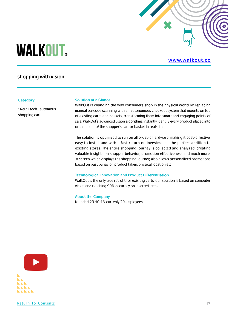# <span id="page-16-0"></span>**WALKOUT.**

#### **[www.walkout.co](https://walkout.co/)**

### **shopping with vision**

#### **Category**

• Retail tech- automous shopping carts

#### **Solution at a Glance**

WalkOut is changing the way consumers shop in the physical world by replacing manual barcode scanning with an autonomous checkout system that mounts on top of existing carts and baskets, transforming them into smart and engaging points of sale. WalkOut's advanced vision algorithms instantly identify every product placed into or taken out of the shopper's cart or basket in real-time.

The solution is optimized to run on affordable hardware, making it cost-effective, easy to install and with a fast return on investment – the perfect addition to existing stores. The entire shopping journey is collected and analyzed, creating valuable insights on shopper behavior, promotion effectiveness and much more. A screen which displays the shopping journey, also allows personalized promotions based on past behavior, product taken, physical location etc.

#### **Technological Innovation and Product Differentiation**

WalkOut is the only true retrofit for exisitng carts, our soultion is based on computer vision and reaching 99% accuracy on inserted items.

#### **About the Company**

founded 29.10.18, currenly 20 employees

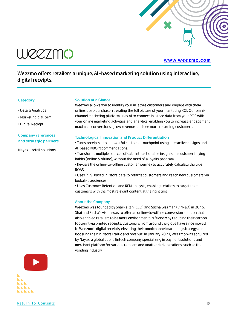

<span id="page-17-0"></span>

#### **[www.weezmo.com](https://www.weezmo.com/)**

### **Weezmo offers retailers a unique, AI-based marketing solution using interactive, digital receipts.**

#### **Category**

- Data & Analytics
- Marketing platform
- Digital Reciept

#### **Company references and strategic partners**

Nayax - retail solutions

#### **Solution at a Glance**

Weezmo allows you to identify your in-store customers and engage with them online, post-purchase, revealing the full picture of your marketing ROI. Our omnichannel marketing platform uses AI to connect in-store data from your POS with your online marketing activities and analytics, enabling you to increase engagement, maximize conversions, grow revenue, and see more returning customers.

#### **Technological Innovation and Product Differentiation**

• Turns receipts into a powerful customer touchpoint using interactive designs and AI-based NBO recommendations.

• Transforms multiple sources of data into actionable insights on customer buying habits (online & offline), without the need of a loyalty program.

• Reveals the online-to-offline customer journey to accurately calculate the true ROAS.

• Uses POS-based in-store data to retarget customers and reach new customers via lookalike audiences.

• Uses Customer Retention and RFM analysis, enabling retailers to target their customers with the most relevant content at the right time.

#### **About the Company**

Weezmo was founded by Shai Raiten (CEO) and Sasha Glazman (VP R&D) in 2015. Shai and Sasha's vision was to offer an online-to-offline conversion solution that also enabled retailers to be more environmentally friendly by reducing their carbon footprint via printed receipts. Customers from around the globe have since moved to Weezmo's digital receipts, elevating their omnichannel marketing strategy and boosting their in-store traffic and revenue. In January 2021, Weezmo was acquired by Nayax, a global public fintech company specializing in payment solutions and merchant platform for various retailers and unattended operations, such as the vending industry.

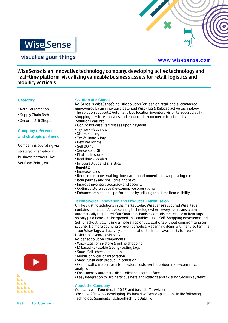<span id="page-18-0"></span>

visualize your things

#### **[www.wisesense.com](https://wisesense.com/)**

**WiseSense is an innovative technology company, developing active technology and real-time platform, visualizing valueable business assets for retail, logistics and mobility verticals.**

#### **Category**

- Retail Automation
- Supply Chain Tech
- Secured Self Shoppin

#### **Company references and strategic partners**

Company is operating via strategic international business partners, like: Verifone, Zebra, etc.

#### **Solution at a Glance**

Re-Sense is WiseSense's holistic solution for fashion retail and e-commerce, empowered by an innovative patented Wise-Tag & Release active technology The solution supports: Automatic Live location inventory visibility, Secured Selfshopping, In-store analytics and enhanced e-commerce functionality.  **Solution Features:**

- Controlled Wise-tag release upon payment
- Try now Buy now
- Stor-e-tailing
- Try @ Home & Pay
- Reserve for Me
- Self BOPIS
- Sense Best Offer
- Find me in store
- Real time loss alert
- In-Store AdSpend analytics
- **Benefits:**
- Increase sales
- Reduce customer waiting time, cart abandonment, loss & operating costs
- Item journey and shelf time analytics
- Improve inventory accuracy and security
- Optimize store space & e-commerce operational
- Enhance omnichannel performance by utilizing real-time item visibility

#### **Technological Innovation and Product Differentiation**

Unlike existing solutions in the market today, WiseSense's secured Wise-tags contains connected Active sensing technology, where every item transaction is automatically registered. Our Smart mechanism controls the release of item tags, so only paid items can be opened, this enables a real Self-Shopping experience and Self-checkout (SCO) using a mobile app or SCO stations without compromising on security. No more counting or even periodically scanning items with handled terminal – our Wise-Tags will actively communication their item availability for real-time UpToDate inventory visibility

Re-sense solution Components:

- Wise-tags for in-store & online shopping
- ID based Re-usable & Long-lasting tags
- Smart Self-checkout stations
- Mobile application integration
- Smart Shelf with product information
- Online software platform for In-store customer behaviour and e-commerce analysis
- Enrollment & automatic disenrollment smart surface
- Easy integration to 3rd party business applications and existing Security systems

#### **About the Company**

Company was Founded: in 2017, and based in Tel Aviv, Israel We have 20 people developing HW based softwrae aplications in the following Technology Segments: FashionlTech | BigData | IoT

**[Return to Contents](#page-3-0)** 19



**LLLL**